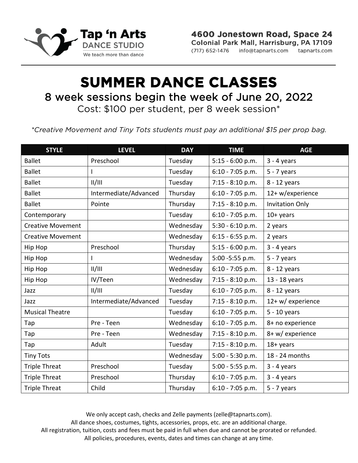

4600 Jonestown Road, Space 24 Colonial Park Mall, Harrisburg, PA 17109 (717) 652-1476 info@tapnarts.com tapnarts.com

## **SUMMER DANCE CLASSES**  8 week sessions begin the week of June 20, 2022 Cost: \$100 per student, per 8 week session\*

*\*Creative Movement and Tiny Tots students must pay an additional \$15 per prop bag.*

| <b>STYLE</b>             | <b>LEVEL</b>          | <b>DAY</b> | <b>TIME</b>        | <b>AGE</b>             |  |  |
|--------------------------|-----------------------|------------|--------------------|------------------------|--|--|
| <b>Ballet</b>            | Preschool             | Tuesday    | 5:15 - 6:00 p.m.   | $3 - 4$ years          |  |  |
| <b>Ballet</b>            | I                     | Tuesday    | $6:10 - 7:05$ p.m. | $5 - 7$ years          |  |  |
| <b>Ballet</b>            | II/III                | Tuesday    | $7:15 - 8:10 p.m.$ | 8 - 12 years           |  |  |
| <b>Ballet</b>            | Intermediate/Advanced | Thursday   | 6:10 - 7:05 p.m.   | 12+ w/experience       |  |  |
| <b>Ballet</b>            | Pointe                | Thursday   | 7:15 - 8:10 p.m.   | <b>Invitation Only</b> |  |  |
| Contemporary             |                       | Tuesday    | $6:10 - 7:05$ p.m. | $10+$ years            |  |  |
| <b>Creative Movement</b> |                       | Wednesday  | 5:30 - 6:10 p.m.   | 2 years                |  |  |
| <b>Creative Movement</b> |                       | Wednesday  | $6:15 - 6:55$ p.m. | 2 years                |  |  |
| Hip Hop                  | Preschool             | Thursday   | $5:15 - 6:00 p.m.$ | $3 - 4$ years          |  |  |
| Hip Hop                  |                       | Wednesday  | 5:00 - 5:55 p.m.   | $5 - 7$ years          |  |  |
| Hip Hop                  | /                     | Wednesday  | $6:10 - 7:05$ p.m. | 8 - 12 years           |  |  |
| Hip Hop                  | IV/Teen               | Wednesday  | 7:15 - 8:10 p.m.   | 13 - 18 years          |  |  |
| Jazz                     | II/III                | Tuesday    | $6:10 - 7:05$ p.m. | 8 - 12 years           |  |  |
| Jazz                     | Intermediate/Advanced | Tuesday    | $7:15 - 8:10 p.m.$ | 12+ w/ experience      |  |  |
| <b>Musical Theatre</b>   |                       | Tuesday    | $6:10 - 7:05$ p.m. | $5 - 10$ years         |  |  |
| Tap                      | Pre - Teen            | Wednesday  | $6:10 - 7:05$ p.m. | 8+ no experience       |  |  |
| Tap                      | Pre - Teen            | Wednesday  | $7:15 - 8:10 p.m.$ | 8+ w/ experience       |  |  |
| Tap                      | Adult                 | Tuesday    | $7:15 - 8:10 p.m.$ | $18 + years$           |  |  |
| <b>Tiny Tots</b>         |                       | Wednesday  | 5:00 - 5:30 p.m.   | 18 - 24 months         |  |  |
| <b>Triple Threat</b>     | Preschool             | Tuesday    | 5:00 - 5:55 p.m.   | $3 - 4$ years          |  |  |
| <b>Triple Threat</b>     | Preschool             | Thursday   | $6:10 - 7:05$ p.m. | $3 - 4$ years          |  |  |
| <b>Triple Threat</b>     | Child                 | Thursday   | $6:10 - 7:05$ p.m. | $5 - 7$ years          |  |  |

We only accept cash, checks and Zelle payments (zelle@tapnarts.com). All dance shoes, costumes, tights, accessories, props, etc. are an additional charge. All registration, tuition, costs and fees must be paid in full when due and cannot be prorated or refunded. All policies, procedures, events, dates and times can change at any time.